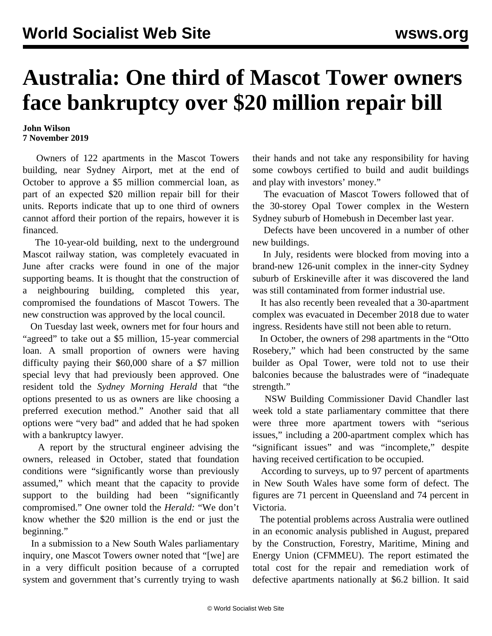## **Australia: One third of Mascot Tower owners face bankruptcy over \$20 million repair bill**

## **John Wilson 7 November 2019**

 Owners of 122 apartments in the Mascot Towers building, near Sydney Airport, met at the end of October to approve a \$5 million commercial loan, as part of an expected \$20 million repair bill for their units. Reports indicate that up to one third of owners cannot afford their portion of the repairs, however it is financed.

 The 10-year-old building, next to the underground Mascot railway station, was completely evacuated in June after cracks were found in one of the major supporting beams. It is thought that the construction of a neighbouring building, completed this year, compromised the foundations of Mascot Towers. The new construction was approved by the local council.

 On Tuesday last week, owners met for four hours and "agreed" to take out a \$5 million, 15-year commercial loan. A small proportion of owners were having difficulty paying their \$60,000 share of a \$7 million special levy that had previously been approved. One resident told the *Sydney Morning Herald* that "the options presented to us as owners are like choosing a preferred execution method." Another said that all options were "very bad" and added that he had spoken with a bankruptcy lawyer.

 A report by the structural engineer advising the owners, released in October, stated that foundation conditions were "significantly worse than previously assumed," which meant that the capacity to provide support to the building had been "significantly compromised." One owner told the *Herald:* "We don't know whether the \$20 million is the end or just the beginning."

 In a submission to a New South Wales parliamentary inquiry, one Mascot Towers owner noted that "[we] are in a very difficult position because of a corrupted system and government that's currently trying to wash their hands and not take any responsibility for having some cowboys certified to build and audit buildings and play with investors' money."

 The evacuation of Mascot Towers followed that of the 30-storey Opal Tower complex in the Western Sydney suburb of Homebush in December last year.

 Defects have been uncovered in a number of other new buildings.

 In July, residents were blocked from moving into a brand-new 126-unit complex in the inner-city Sydney suburb of Erskineville after it was discovered the land was still contaminated from former industrial use.

 It has also recently been revealed that a 30-apartment complex was evacuated in December 2018 due to water ingress. Residents have still not been able to return.

 In October, the owners of 298 apartments in the "Otto Rosebery," which had been constructed by the same builder as Opal Tower, were told not to use their balconies because the balustrades were of "inadequate strength."

 NSW Building Commissioner David Chandler last week told a state parliamentary committee that there were three more apartment towers with "serious issues," including a 200-apartment complex which has "significant issues" and was "incomplete," despite having received certification to be occupied.

 According to surveys, up to 97 percent of apartments in New South Wales have some form of defect. The figures are 71 percent in Queensland and 74 percent in Victoria.

 The potential problems across Australia were outlined in an economic analysis published in August, prepared by the Construction, Forestry, Maritime, Mining and Energy Union (CFMMEU). The report estimated the total cost for the repair and remediation work of defective apartments nationally at \$6.2 billion. It said